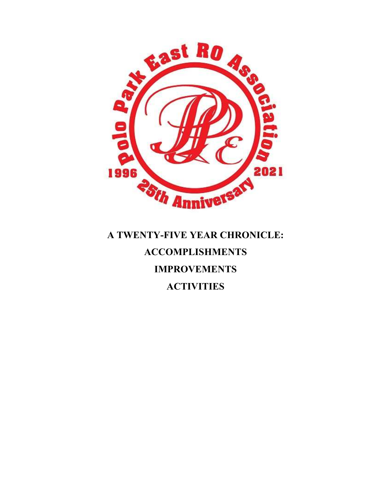

# A TWENTY-FIVE YEAR CHRONICLE: ACCOMPLISHMENTS IMPROVEMENTS **ACTIVITIES**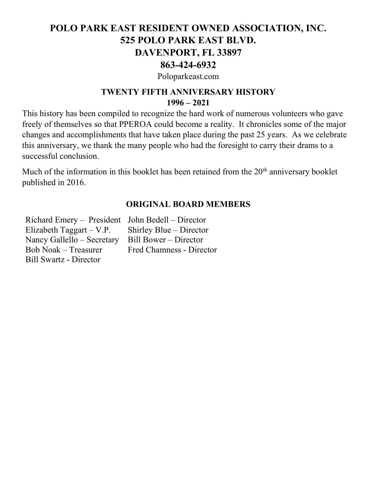## POLO PARK EAST RESIDENT OWNED ASSOCIATION, INC. 525 POLO PARK EAST BLVD. DAVENPORT, FL 33897 863-424-6932

Poloparkeast.com

## TWENTY FIFTH ANNIVERSARY HISTORY 1996 – 2021

This history has been compiled to recognize the hard work of numerous volunteers who gave freely of themselves so that PPEROA could become a reality. It chronicles some of the major changes and accomplishments that have taken place during the past 25 years. As we celebrate this anniversary, we thank the many people who had the foresight to carry their drams to a successful conclusion.

Much of the information in this booklet has been retained from the  $20<sup>th</sup>$  anniversary booklet published in 2016.

#### ORIGINAL BOARD MEMBERS

Richard Emery – President John Bedell – Director Elizabeth Taggart – V.P. Nancy Gallello – Secretary Bob Noak – Treasurer Bill Swartz - Director

Shirley Blue – Director Bill Bower – Director Fred Chamness - Director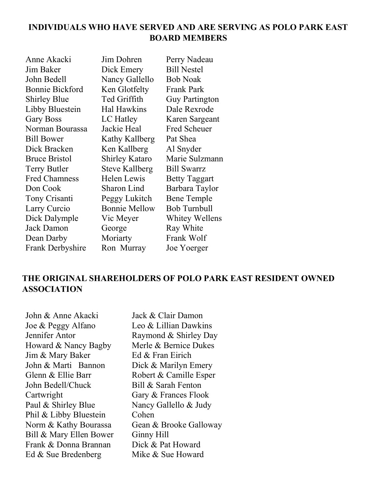## INDIVIDUALS WHO HAVE SERVED AND ARE SERVING AS POLO PARK EAST BOARD MEMBERS

| Anne Akacki          | Jim Dohren            | Perry Nadeau          |
|----------------------|-----------------------|-----------------------|
| Jim Baker            | Dick Emery            | <b>Bill Nestel</b>    |
| John Bedell          | Nancy Gallello        | <b>Bob Noak</b>       |
| Bonnie Bickford      | Ken Glotfelty         | <b>Frank Park</b>     |
| <b>Shirley Blue</b>  | Ted Griffith          | <b>Guy Partington</b> |
| Libby Bluestein      | Hal Hawkins           | Dale Rexrode          |
| <b>Gary Boss</b>     | LC Hatley             | Karen Sargeant        |
| Norman Bourassa      | Jackie Heal           | Fred Scheuer          |
| Bill Bower           | Kathy Kallberg        | Pat Shea              |
| Dick Bracken         | Ken Kallberg          | Al Snyder             |
| <b>Bruce Bristol</b> | <b>Shirley Kataro</b> | Marie Sulzmann        |
| Terry Butler         | <b>Steve Kallberg</b> | <b>Bill Swarrz</b>    |
| Fred Chamness        | Helen Lewis           | <b>Betty Taggart</b>  |
| Don Cook             | Sharon Lind           | Barbara Taylor        |
| Tony Crisanti        | Peggy Lukitch         | Bene Temple           |
| Larry Curcio         | <b>Bonnie Mellow</b>  | <b>Bob Turnbull</b>   |
| Dick Dalymple        | Vic Meyer             | <b>Whitey Wellens</b> |
| Jack Damon           | George                | Ray White             |
| Dean Darby           | Moriarty              | Frank Wolf            |
| Frank Derbyshire     | Ron Murray            | Joe Yoerger           |

## THE ORIGINAL SHAREHOLDERS OF POLO PARK EAST RESIDENT OWNED ASSOCIATION

John & Anne Akacki Joe & Peggy Alfano Jennifer Antor Howard & Nancy Bagby Jim & Mary Baker John & Marti Bannon Glenn & Ellie Barr John Bedell/Chuck Cartwright Paul & Shirley Blue Phil & Libby Bluestein Norm & Kathy Bourassa Bill & Mary Ellen Bower Frank & Donna Brannan Ed & Sue Bredenberg

Jack & Clair Damon Leo & Lillian Dawkins Raymond & Shirley Day Merle & Bernice Dukes Ed & Fran Eirich Dick & Marilyn Emery Robert & Camille Esper Bill & Sarah Fenton Gary & Frances Flook Nancy Gallello & Judy Cohen Gean & Brooke Galloway Ginny Hill Dick & Pat Howard Mike & Sue Howard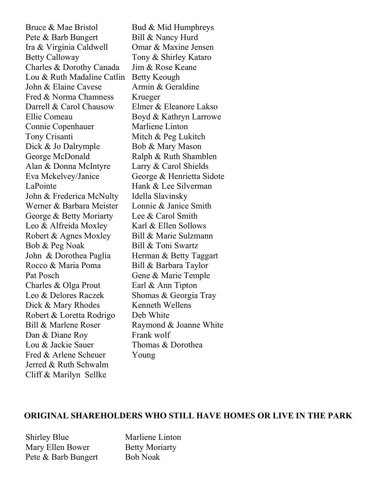Bruce & Mae Bristol Pete & Barb Bungert Ira & Virginia Caldwell Betty Calloway Charles & Dorothy Canada Lou & Ruth Madaline Catlin John & Elaine Cavese Fred & Norma Chamness Darrell & Carol Chausow Ellie Comeau Connie Copenhauer Tony Crisanti Dick & Jo Dalrymple George McDonald Alan & Donna McIntyre Eva Mckelvey/Janice LaPointe John & Frederica McNulty Werner & Barbara Meister George & Betty Moriarty Leo & Alfreida Moxley Robert & Agnes Moxley Bob & Peg Noak John & Dorothea Paglia Rocco & Maria Poma Pat Posch Charles & Olga Prout Leo & Delores Raczek Dick & Mary Rhodes Robert & Loretta Rodrigo Bill & Marlene Roser Dan & Diane Roy Lou & Jackie Sauer Fred & Arlene Scheuer Jerred & Ruth Schwalm Cliff & Marilyn Sellke

Bud & Mid Humphreys Bill & Nancy Hurd Omar & Maxine Jensen Tony & Shirley Kataro Jim & Rose Keane Betty Keough Armin & Geraldine Krueger Elmer & Eleanore Lakso Boyd & Kathryn Larrowe Marliene Linton Mitch & Peg Lukitch Bob & Mary Mason Ralph & Ruth Shamblen Larry & Carol Shields George & Henrietta Sidote Hank & Lee Silverman Idella Slavinsky Lonnie & Janice Smith Lee & Carol Smith Karl & Ellen Sollows Bill & Marie Sulzmann Bill & Toni Swartz Herman & Betty Taggart Bill & Barbara Taylor Gene & Marie Temple Earl & Ann Tipton Shomas & Georgia Tray Kenneth Wellens Deb White Raymond & Joanne White Frank wolf Thomas & Dorothea Young

#### ORIGINAL SHAREHOLDERS WHO STILL HAVE HOMES OR LIVE IN THE PARK

Shirley Blue Mary Ellen Bower Pete & Barb Bungert Marliene Linton Betty Moriarty Bob Noak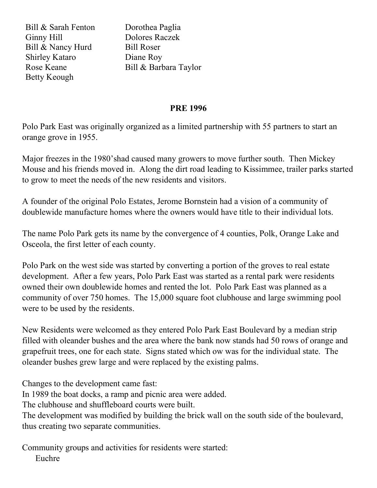Bill & Sarah Fenton Ginny Hill Bill & Nancy Hurd Shirley Kataro Rose Keane Betty Keough

Dorothea Paglia Dolores Raczek Bill Roser Diane Roy Bill & Barbara Taylor

#### PRE 1996

Polo Park East was originally organized as a limited partnership with 55 partners to start an orange grove in 1955.

Major freezes in the 1980'shad caused many growers to move further south. Then Mickey Mouse and his friends moved in. Along the dirt road leading to Kissimmee, trailer parks started to grow to meet the needs of the new residents and visitors.

A founder of the original Polo Estates, Jerome Bornstein had a vision of a community of doublewide manufacture homes where the owners would have title to their individual lots.

The name Polo Park gets its name by the convergence of 4 counties, Polk, Orange Lake and Osceola, the first letter of each county.

Polo Park on the west side was started by converting a portion of the groves to real estate development. After a few years, Polo Park East was started as a rental park were residents owned their own doublewide homes and rented the lot. Polo Park East was planned as a community of over 750 homes. The 15,000 square foot clubhouse and large swimming pool were to be used by the residents.

New Residents were welcomed as they entered Polo Park East Boulevard by a median strip filled with oleander bushes and the area where the bank now stands had 50 rows of orange and grapefruit trees, one for each state. Signs stated which ow was for the individual state. The oleander bushes grew large and were replaced by the existing palms.

Changes to the development came fast:

In 1989 the boat docks, a ramp and picnic area were added.

The clubhouse and shuffleboard courts were built.

The development was modified by building the brick wall on the south side of the boulevard, thus creating two separate communities.

Community groups and activities for residents were started: Euchre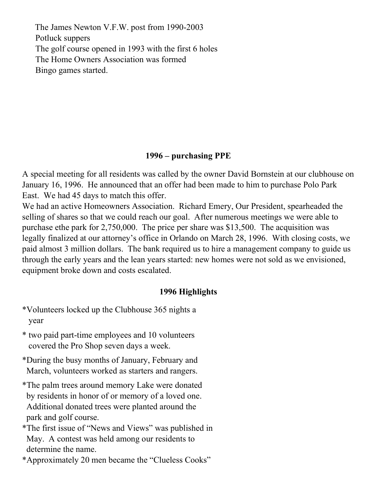The James Newton V.F.W. post from 1990-2003 Potluck suppers The golf course opened in 1993 with the first 6 holes The Home Owners Association was formed Bingo games started.

#### 1996 – purchasing PPE

A special meeting for all residents was called by the owner David Bornstein at our clubhouse on January 16, 1996. He announced that an offer had been made to him to purchase Polo Park East. We had 45 days to match this offer.

We had an active Homeowners Association. Richard Emery, Our President, spearheaded the selling of shares so that we could reach our goal. After numerous meetings we were able to purchase ethe park for 2,750,000. The price per share was \$13,500. The acquisition was legally finalized at our attorney's office in Orlando on March 28, 1996. With closing costs, we paid almost 3 million dollars. The bank required us to hire a management company to guide us through the early years and the lean years started: new homes were not sold as we envisioned, equipment broke down and costs escalated.

#### 1996 Highlights

- \*Volunteers locked up the Clubhouse 365 nights a year
- \* two paid part-time employees and 10 volunteers covered the Pro Shop seven days a week.
- \*During the busy months of January, February and March, volunteers worked as starters and rangers.
- \*The palm trees around memory Lake were donated by residents in honor of or memory of a loved one. Additional donated trees were planted around the park and golf course.
- \*The first issue of "News and Views" was published in May. A contest was held among our residents to determine the name.

\*Approximately 20 men became the "Clueless Cooks"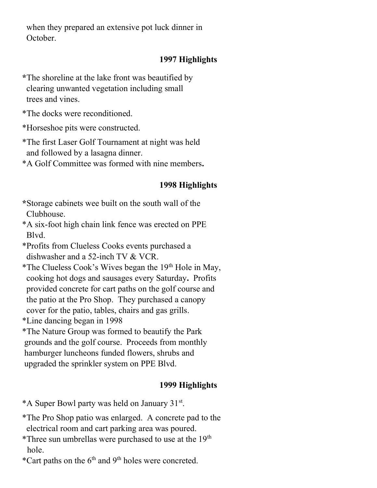when they prepared an extensive pot luck dinner in October.

### 1997 Highlights

\*The shoreline at the lake front was beautified by clearing unwanted vegetation including small trees and vines.

\*The docks were reconditioned.

\*Horseshoe pits were constructed.

\*The first Laser Golf Tournament at night was held and followed by a lasagna dinner.

\*A Golf Committee was formed with nine members.

## 1998 Highlights

- \*Storage cabinets wee built on the south wall of the Clubhouse.
- \*A six-foot high chain link fence was erected on PPE Blvd.
- \*Profits from Clueless Cooks events purchased a dishwasher and a 52-inch TV & VCR.
- \*The Clueless Cook's Wives began the  $19<sup>th</sup>$  Hole in May, cooking hot dogs and sausages every Saturday. Profits provided concrete for cart paths on the golf course and the patio at the Pro Shop. They purchased a canopy cover for the patio, tables, chairs and gas grills.
- \*Line dancing began in 1998
- \*The Nature Group was formed to beautify the Park grounds and the golf course. Proceeds from monthly hamburger luncheons funded flowers, shrubs and upgraded the sprinkler system on PPE Blvd.

- \*A Super Bowl party was held on January 31st .
- \*The Pro Shop patio was enlarged. A concrete pad to the electrical room and cart parking area was poured.
- \*Three sun umbrellas were purchased to use at the  $19<sup>th</sup>$ hole.
- \*Cart paths on the  $6<sup>th</sup>$  and  $9<sup>th</sup>$  holes were concreted.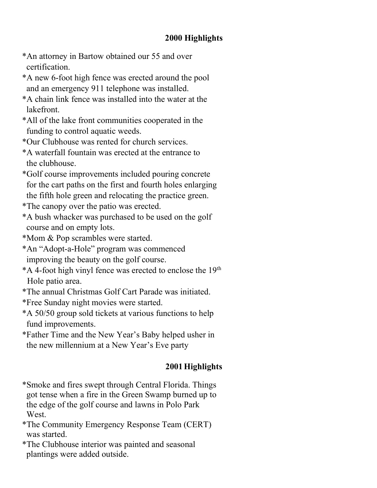## 2000 Highlights

- \*An attorney in Bartow obtained our 55 and over certification.
- \*A new 6-foot high fence was erected around the pool and an emergency 911 telephone was installed.
- \*A chain link fence was installed into the water at the lakefront.
- \*All of the lake front communities cooperated in the funding to control aquatic weeds.
- \*Our Clubhouse was rented for church services.
- \*A waterfall fountain was erected at the entrance to the clubhouse.
- \*Golf course improvements included pouring concrete for the cart paths on the first and fourth holes enlarging the fifth hole green and relocating the practice green.
- \*The canopy over the patio was erected.
- \*A bush whacker was purchased to be used on the golf course and on empty lots.
- \*Mom & Pop scrambles were started.
- \*An "Adopt-a-Hole" program was commenced improving the beauty on the golf course.
- $*A$  4-foot high vinyl fence was erected to enclose the 19<sup>th</sup> Hole patio area.
- \*The annual Christmas Golf Cart Parade was initiated.
- \*Free Sunday night movies were started.
- \*A 50/50 group sold tickets at various functions to help fund improvements.
- \*Father Time and the New Year's Baby helped usher in the new millennium at a New Year's Eve party

- \*Smoke and fires swept through Central Florida. Things got tense when a fire in the Green Swamp burned up to the edge of the golf course and lawns in Polo Park West.
- \*The Community Emergency Response Team (CERT) was started.
- \*The Clubhouse interior was painted and seasonal plantings were added outside.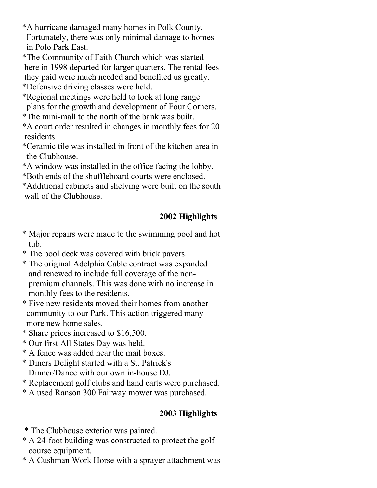\*A hurricane damaged many homes in Polk County. Fortunately, there was only minimal damage to homes in Polo Park East.

- \*The Community of Faith Church which was started here in 1998 departed for larger quarters. The rental fees
- they paid were much needed and benefited us greatly.

\*Defensive driving classes were held.

- \*Regional meetings were held to look at long range plans for the growth and development of Four Corners.
- \*The mini-mall to the north of the bank was built.
- \*A court order resulted in changes in monthly fees for 20 residents
- \*Ceramic tile was installed in front of the kitchen area in the Clubhouse.
- \*A window was installed in the office facing the lobby.
- \*Both ends of the shuffleboard courts were enclosed.
- \*Additional cabinets and shelving were built on the south wall of the Clubhouse.

## 2002 Highlights

- \* Major repairs were made to the swimming pool and hot tub.
- \* The pool deck was covered with brick pavers.
- \* The original Adelphia Cable contract was expanded and renewed to include full coverage of the non premium channels. This was done with no increase in monthly fees to the residents.
- \* Five new residents moved their homes from another community to our Park. This action triggered many more new home sales.
- \* Share prices increased to \$16,500.
- \* Our first All States Day was held.
- \* A fence was added near the mail boxes.
- \* Diners Delight started with a St. Patrick's Dinner/Dance with our own in-house DJ.
- \* Replacement golf clubs and hand carts were purchased.
- \* A used Ranson 300 Fairway mower was purchased.

- \* The Clubhouse exterior was painted.
- \* A 24-foot building was constructed to protect the golf course equipment.
- \* A Cushman Work Horse with a sprayer attachment was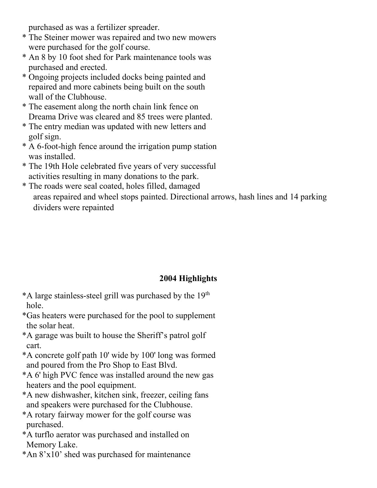purchased as was a fertilizer spreader.

- \* The Steiner mower was repaired and two new mowers were purchased for the golf course.
- \* An 8 by 10 foot shed for Park maintenance tools was purchased and erected.
- \* Ongoing projects included docks being painted and repaired and more cabinets being built on the south wall of the Clubhouse.
- \* The easement along the north chain link fence on Dreama Drive was cleared and 85 trees were planted.
- \* The entry median was updated with new letters and golf sign.
- \* A 6-foot-high fence around the irrigation pump station was installed.
- \* The 19th Hole celebrated five years of very successful activities resulting in many donations to the park.
- \* The roads were seal coated, holes filled, damaged areas repaired and wheel stops painted. Directional arrows, hash lines and 14 parking dividers were repainted

- \*A large stainless-steel grill was purchased by the  $19<sup>th</sup>$ hole.
- \*Gas heaters were purchased for the pool to supplement the solar heat.
- \*A garage was built to house the Sheriff's patrol golf cart.
- \*A concrete golf path 10' wide by 100' long was formed and poured from the Pro Shop to East Blvd.
- \*A 6' high PVC fence was installed around the new gas heaters and the pool equipment.
- \*A new dishwasher, kitchen sink, freezer, ceiling fans and speakers were purchased for the Clubhouse.
- \*A rotary fairway mower for the golf course was purchased.
- \*A turflo aerator was purchased and installed on Memory Lake.
- \*An 8'x10' shed was purchased for maintenance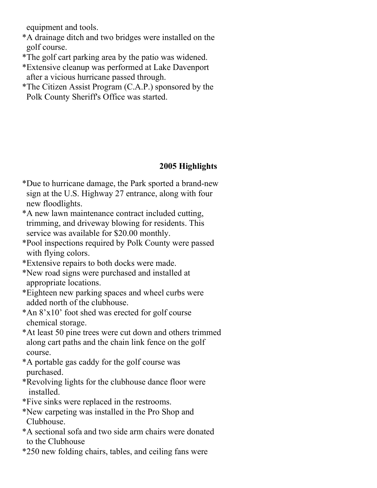equipment and tools.

- \*A drainage ditch and two bridges were installed on the golf course.
- \*The golf cart parking area by the patio was widened.
- \*Extensive cleanup was performed at Lake Davenport after a vicious hurricane passed through.
- \*The Citizen Assist Program (C.A.P.) sponsored by the Polk County Sheriff's Office was started.

- \*Due to hurricane damage, the Park sported a brand-new sign at the U.S. Highway 27 entrance, along with four new floodlights.
- \*A new lawn maintenance contract included cutting, trimming, and driveway blowing for residents. This service was available for \$20.00 monthly.
- \*Pool inspections required by Polk County were passed with flying colors.
- \*Extensive repairs to both docks were made.
- \*New road signs were purchased and installed at appropriate locations.
- \*Eighteen new parking spaces and wheel curbs were added north of the clubhouse.
- \*An 8'x10' foot shed was erected for golf course chemical storage.
- \*At least 50 pine trees were cut down and others trimmed along cart paths and the chain link fence on the golf course.
- \*A portable gas caddy for the golf course was purchased.
- \*Revolving lights for the clubhouse dance floor were installed.
- \*Five sinks were replaced in the restrooms.
- \*New carpeting was installed in the Pro Shop and Clubhouse.
- \*A sectional sofa and two side arm chairs were donated to the Clubhouse
- \*250 new folding chairs, tables, and ceiling fans were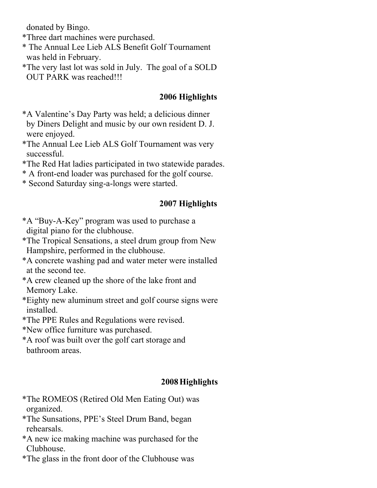donated by Bingo.

- \*Three dart machines were purchased.
- \* The Annual Lee Lieb ALS Benefit Golf Tournament was held in February.
- \*The very last lot was sold in July. The goal of a SOLD OUT PARK was reached!!!

#### 2006 Highlights

- \*A Valentine's Day Party was held; a delicious dinner by Diners Delight and music by our own resident D. J. were enjoyed.
- \*The Annual Lee Lieb ALS Golf Tournament was very successful.
- \*The Red Hat ladies participated in two statewide parades.
- \* A front-end loader was purchased for the golf course.
- \* Second Saturday sing-a-longs were started.

#### 2007 Highlights

- \*A "Buy-A-Key" program was used to purchase a digital piano for the clubhouse.
- \*The Tropical Sensations, a steel drum group from New Hampshire, performed in the clubhouse.
- \*A concrete washing pad and water meter were installed at the second tee.
- \*A crew cleaned up the shore of the lake front and Memory Lake.
- \*Eighty new aluminum street and golf course signs were installed.
- \*The PPE Rules and Regulations were revised.
- \*New office furniture was purchased.
- \*A roof was built over the golf cart storage and bathroom areas.

- \*The ROMEOS (Retired Old Men Eating Out) was organized.
- \*The Sunsations, PPE's Steel Drum Band, began rehearsals.
- \*A new ice making machine was purchased for the Clubhouse.
- \*The glass in the front door of the Clubhouse was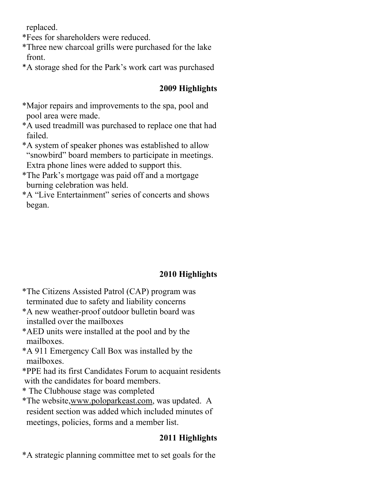replaced.

\*Fees for shareholders were reduced.

- \*Three new charcoal grills were purchased for the lake front.
- \*A storage shed for the Park's work cart was purchased

## 2009 Highlights

- \*Major repairs and improvements to the spa, pool and pool area were made.
- \*A used treadmill was purchased to replace one that had failed.
- \*A system of speaker phones was established to allow "snowbird" board members to participate in meetings. Extra phone lines were added to support this.
- \*The Park's mortgage was paid off and a mortgage burning celebration was held.
- \*A "Live Entertainment" series of concerts and shows began.

## 2010 Highlights

- \*The Citizens Assisted Patrol (CAP) program was terminated due to safety and liability concerns
- \*A new weather-proof outdoor bulletin board was installed over the mailboxes
- \*AED units were installed at the pool and by the mailboxes.
- \*A 911 Emergency Call Box was installed by the mailboxes.
- \*PPE had its first Candidates Forum to acquaint residents with the candidates for board members.
- \* The Clubhouse stage was completed
- \*The website,www.poloparkeast.com, was updated. A resident section was added which included minutes of meetings, policies, forms and a member list.

## 2011 Highlights

\*A strategic planning committee met to set goals for the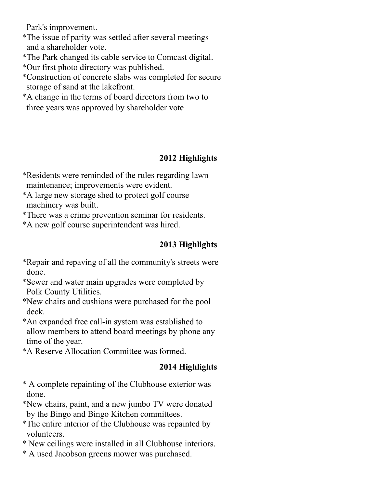Park's improvement.

- \*The issue of parity was settled after several meetings and a shareholder vote.
- \*The Park changed its cable service to Comcast digital.
- \*Our first photo directory was published.
- \*Construction of concrete slabs was completed for secure storage of sand at the lakefront.
- \*A change in the terms of board directors from two to three years was approved by shareholder vote

## 2012 Highlights

- \*Residents were reminded of the rules regarding lawn maintenance; improvements were evident.
- \*A large new storage shed to protect golf course machinery was built.
- \*There was a crime prevention seminar for residents.
- \*A new golf course superintendent was hired.

## 2013 Highlights

- \*Repair and repaving of all the community's streets were done.
- \*Sewer and water main upgrades were completed by Polk County Utilities.
- \*New chairs and cushions were purchased for the pool deck.
- \*An expanded free call-in system was established to allow members to attend board meetings by phone any time of the year.
- \*A Reserve Allocation Committee was formed.

- \* A complete repainting of the Clubhouse exterior was done.
- \*New chairs, paint, and a new jumbo TV were donated by the Bingo and Bingo Kitchen committees.
- \*The entire interior of the Clubhouse was repainted by volunteers.
- \* New ceilings were installed in all Clubhouse interiors.
- \* A used Jacobson greens mower was purchased.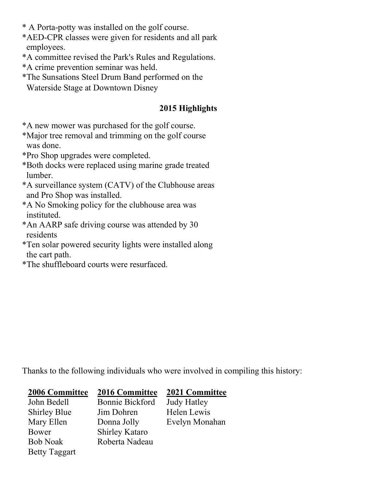- \* A Porta-potty was installed on the golf course.
- \*AED-CPR classes were given for residents and all park employees.
- \*A committee revised the Park's Rules and Regulations.
- \*A crime prevention seminar was held.
- \*The Sunsations Steel Drum Band performed on the Waterside Stage at Downtown Disney

## 2015 Highlights

- \*A new mower was purchased for the golf course.
- \*Major tree removal and trimming on the golf course was done.
- \*Pro Shop upgrades were completed.
- \*Both docks were replaced using marine grade treated lumber.
- \*A surveillance system (CATV) of the Clubhouse areas and Pro Shop was installed.
- \*A No Smoking policy for the clubhouse area was instituted.
- \*An AARP safe driving course was attended by 30 residents
- \*Ten solar powered security lights were installed along the cart path.
- \*The shuffleboard courts were resurfaced.

Thanks to the following individuals who were involved in compiling this history:

| <b>2006 Committee</b> | <b>2016 Committee</b> | <b>2021 Committee</b> |
|-----------------------|-----------------------|-----------------------|
| John Bedell           | Bonnie Bickford       | <b>Judy Hatley</b>    |
| <b>Shirley Blue</b>   | Jim Dohren            | Helen Lewis           |
| Mary Ellen            | Donna Jolly           | Evelyn Monahan        |
| Bower                 | <b>Shirley Kataro</b> |                       |
| <b>Bob Noak</b>       | Roberta Nadeau        |                       |
| <b>Betty Taggart</b>  |                       |                       |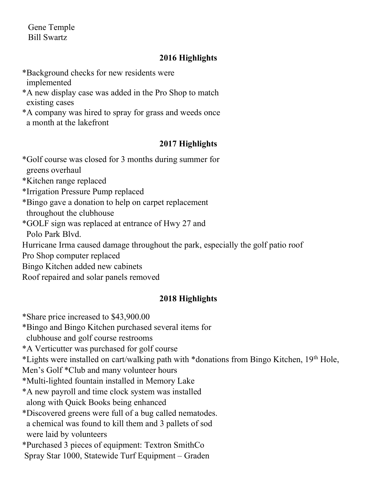Gene Temple Bill Swartz

## 2016 Highlights

- \*Background checks for new residents were implemented
- \*A new display case was added in the Pro Shop to match existing cases
- \*A company was hired to spray for grass and weeds once a month at the lakefront

## 2017 Highlights

- \*Golf course was closed for 3 months during summer for greens overhaul \*Kitchen range replaced \*Irrigation Pressure Pump replaced \*Bingo gave a donation to help on carpet replacement throughout the clubhouse
- \*GOLF sign was replaced at entrance of Hwy 27 and

Polo Park Blvd.

Hurricane Irma caused damage throughout the park, especially the golf patio roof

Pro Shop computer replaced

- Bingo Kitchen added new cabinets
- Roof repaired and solar panels removed

## 2018 Highlights

\*Share price increased to \$43,900.00

\*Bingo and Bingo Kitchen purchased several items for

clubhouse and golf course restrooms

\*A Verticutter was purchased for golf course

\*Lights were installed on cart/walking path with \*donations from Bingo Kitchen, 19th Hole,

Men's Golf \*Club and many volunteer hours

\*Multi-lighted fountain installed in Memory Lake

\*A new payroll and time clock system was installed along with Quick Books being enhanced

\*Discovered greens were full of a bug called nematodes.

a chemical was found to kill them and 3 pallets of sod

were laid by volunteers

\*Purchased 3 pieces of equipment: Textron SmithCo

Spray Star 1000, Statewide Turf Equipment – Graden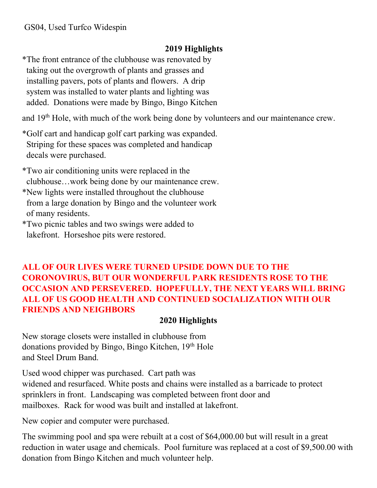## 2019 Highlights

\*The front entrance of the clubhouse was renovated by taking out the overgrowth of plants and grasses and installing pavers, pots of plants and flowers. A drip system was installed to water plants and lighting was added. Donations were made by Bingo, Bingo Kitchen

and 19<sup>th</sup> Hole, with much of the work being done by volunteers and our maintenance crew.

\*Golf cart and handicap golf cart parking was expanded. Striping for these spaces was completed and handicap decals were purchased.

\*Two air conditioning units were replaced in the clubhouse…work being done by our maintenance crew. \*New lights were installed throughout the clubhouse

- from a large donation by Bingo and the volunteer work of many residents.
- \*Two picnic tables and two swings were added to lakefront. Horseshoe pits were restored.

## ALL OF OUR LIVES WERE TURNED UPSIDE DOWN DUE TO THE CORONOVIRUS, BUT OUR WONDERFUL PARK RESIDENTS ROSE TO THE OCCASION AND PERSEVERED. HOPEFULLY, THE NEXT YEARS WILL BRING ALL OF US GOOD HEALTH AND CONTINUED SOCIALIZATION WITH OUR FRIENDS AND NEIGHBORS

## 2020 Highlights

New storage closets were installed in clubhouse from donations provided by Bingo, Bingo Kitchen, 19<sup>th</sup> Hole and Steel Drum Band.

Used wood chipper was purchased. Cart path was widened and resurfaced. White posts and chains were installed as a barricade to protect sprinklers in front. Landscaping was completed between front door and mailboxes. Rack for wood was built and installed at lakefront.

New copier and computer were purchased.

The swimming pool and spa were rebuilt at a cost of \$64,000.00 but will result in a great reduction in water usage and chemicals. Pool furniture was replaced at a cost of \$9,500.00 with donation from Bingo Kitchen and much volunteer help.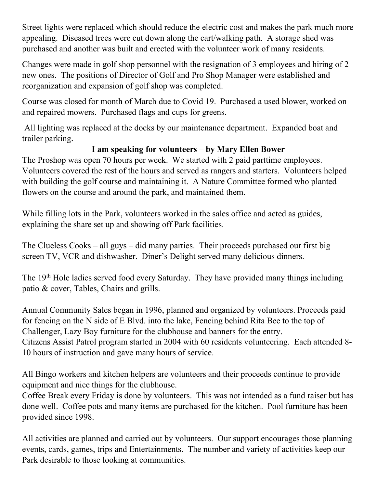Street lights were replaced which should reduce the electric cost and makes the park much more appealing. Diseased trees were cut down along the cart/walking path. A storage shed was purchased and another was built and erected with the volunteer work of many residents.

Changes were made in golf shop personnel with the resignation of 3 employees and hiring of 2 new ones. The positions of Director of Golf and Pro Shop Manager were established and reorganization and expansion of golf shop was completed.

Course was closed for month of March due to Covid 19. Purchased a used blower, worked on and repaired mowers. Purchased flags and cups for greens.

 All lighting was replaced at the docks by our maintenance department. Expanded boat and trailer parking.

## I am speaking for volunteers – by Mary Ellen Bower

The Proshop was open 70 hours per week. We started with 2 paid parttime employees. Volunteers covered the rest of the hours and served as rangers and starters. Volunteers helped with building the golf course and maintaining it. A Nature Committee formed who planted flowers on the course and around the park, and maintained them.

While filling lots in the Park, volunteers worked in the sales office and acted as guides, explaining the share set up and showing off Park facilities.

The Clueless Cooks – all guys – did many parties. Their proceeds purchased our first big screen TV, VCR and dishwasher. Diner's Delight served many delicious dinners.

The 19<sup>th</sup> Hole ladies served food every Saturday. They have provided many things including patio & cover, Tables, Chairs and grills.

Annual Community Sales began in 1996, planned and organized by volunteers. Proceeds paid for fencing on the N side of E Blvd. into the lake, Fencing behind Rita Bee to the top of Challenger, Lazy Boy furniture for the clubhouse and banners for the entry. Citizens Assist Patrol program started in 2004 with 60 residents volunteering. Each attended 8- 10 hours of instruction and gave many hours of service.

All Bingo workers and kitchen helpers are volunteers and their proceeds continue to provide equipment and nice things for the clubhouse.

Coffee Break every Friday is done by volunteers. This was not intended as a fund raiser but has done well. Coffee pots and many items are purchased for the kitchen. Pool furniture has been provided since 1998.

All activities are planned and carried out by volunteers. Our support encourages those planning events, cards, games, trips and Entertainments. The number and variety of activities keep our Park desirable to those looking at communities.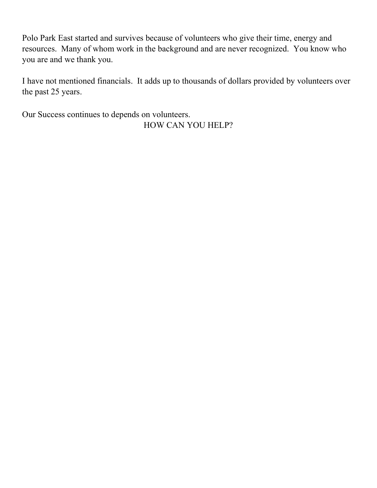Polo Park East started and survives because of volunteers who give their time, energy and resources. Many of whom work in the background and are never recognized. You know who you are and we thank you.

I have not mentioned financials. It adds up to thousands of dollars provided by volunteers over the past 25 years.

Our Success continues to depends on volunteers.

HOW CAN YOU HELP?